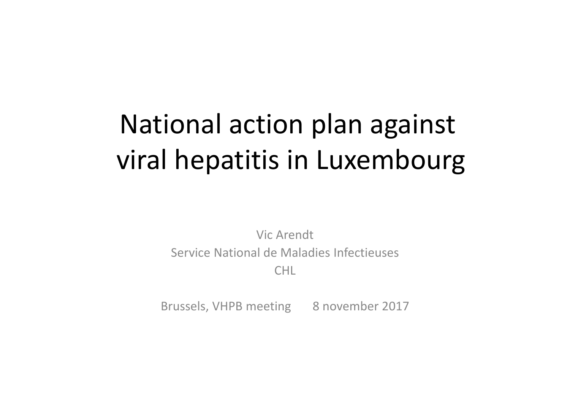# National action plan against viral hepatitis in Luxembourg

Vic Arendt Service National de Maladies Infectieuses CHL

Brussels, VHPB meeting 8 november 2017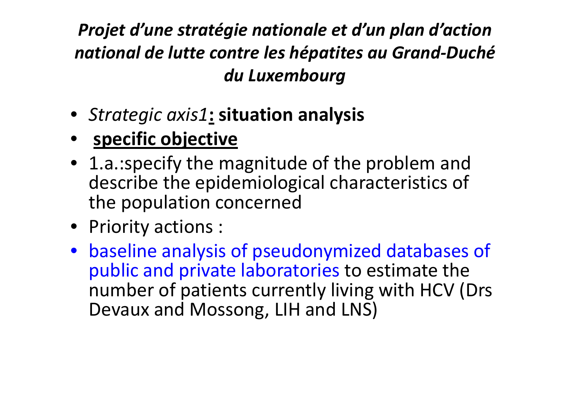## *Projet d'une stratégie nationale et d'un plan d'action national de lutte contre les hépatites au Grand‐Duché du Luxembourg*

- *Strategic axis1***: situation analysis**
- **specific objective**
- 1.a.:specify the magnitude of the problem and describe the epidemiological characteristics of the population concerned
- Priority actions :
- baseline analysis of pseudonymized databases of public and private laboratories to estimate the number of patients currently living with HCV (Drs Devaux and Mossong, LIH and LNS)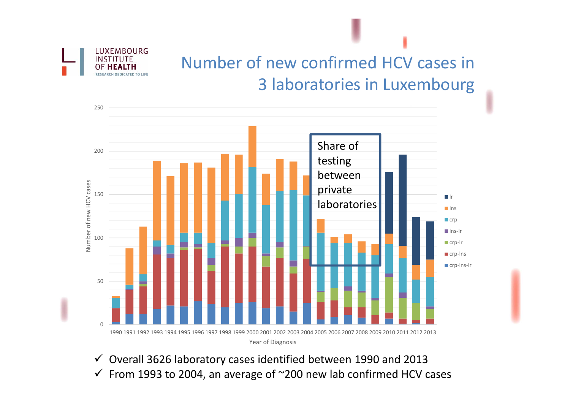

## Number of new confirmed HCV cases in 3 laboratories in Luxembourg



- $\checkmark$  Overall 3626 laboratory cases identified between 1990 and 2013
- $\checkmark$  From 1993 to 2004, an average of ~200 new lab confirmed HCV cases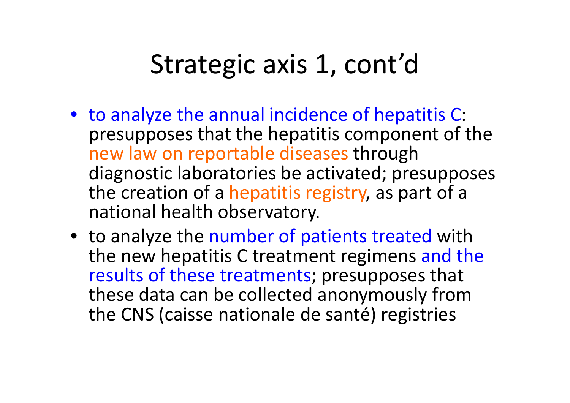## Strategic axis 1, cont'd

- to analyze the annual incidence of hepatitis C: presupposes that the hepatitis component of the new law on reportable diseases through diagnostic laboratories be activated; presupposes the creation of <sup>a</sup> hepatitis registry, as part of <sup>a</sup> national health observatory.
- to analyze the number of patients treated with the new hepatitis C treatment regimens and the results of these treatments; presupposes that these data can be collected anonymously from the CNS (caisse nationale de santé) registries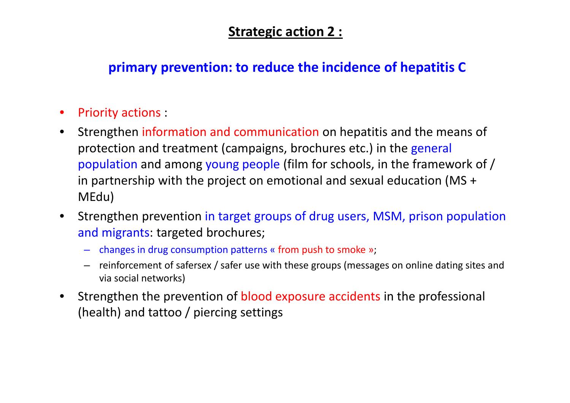#### **Strategic action 2 :**

#### **primary prevention: to reduce the incidence of hepatitis C**

- $\bullet$ Priority actions :
- $\bullet$  Strengthen information and communication on hepatitis and the means of protection and treatment (campaigns, brochures etc.) in the general population and among young people (film for schools, in the framework of / in partnership with the project on emotional and sexual education (MS <sup>+</sup> MEdu)
- $\bullet$  Strengthen prevention in target groups of drug users, MSM, prison population and migrants: targeted brochures;
	- changes in drug consumption patterns « from push to smoke »;
	- reinforcement of safersex / safer use with these groups (messages on online dating sites and via social networks)
- • Strengthen the prevention of blood exposure accidents in the professional (health) and tattoo / piercing settings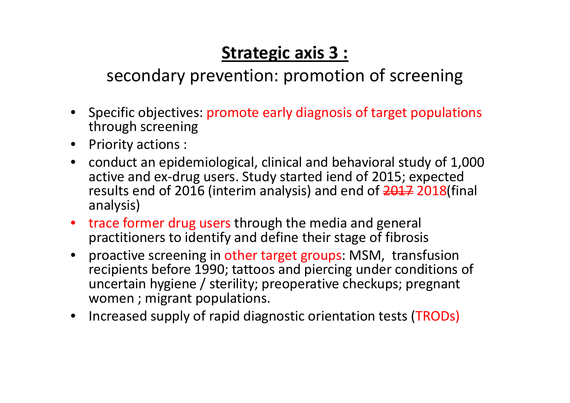### **Strategic axis 3 :**

#### secondary prevention: promotion of screening

- Specific objectives: promote early diagnosis of target populations through screening
- Priority actions :
- conduct an epidemiological, clinical and behavioral study of 1,000 active and ex‐drug users. Study started iend of 2015; expected results end of 2016 (interim analysis) and end of <del>2017</del> 2018(final analysis)
- trace former drug users through the media and general practitioners to identify and define their stage of fibrosis
- proactive screening in other target groups: MSM, transfusion recipients before 1990; tattoos and piercing under conditions of uncertain hygiene / sterility; preoperative checkups; pregnant women ; migrant populations.
- Increased supply of rapid diagnostic orientation tests (TRODs)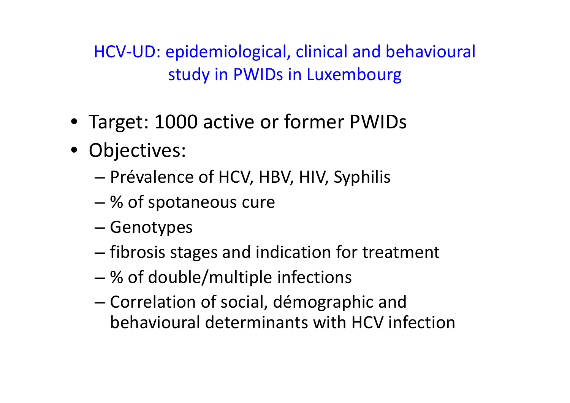HCV‐UD: epidemiological, clinical and behavioural study in PWIDs in Luxembourg

- Target: 1000 active or former PWIDs
- Objectives:
	- Prévalence of HCV, HBV, HIV, Syphilis
	- % of spotaneous cure
	- –– Genotypes
	- – $-$  fibrosis stages and indication for treatment
	- % of double/multiple infections
	- – Correlation of social, démographic and behavioural determinants with HCV infection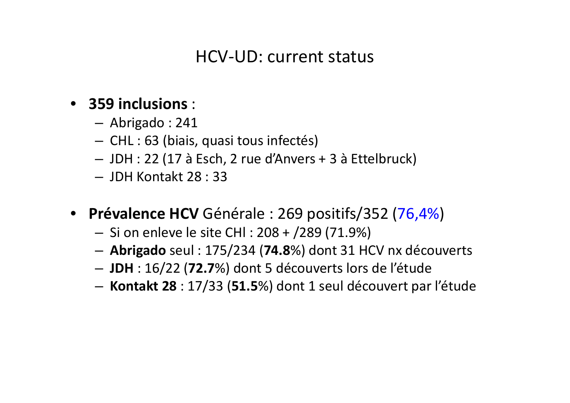#### HCV‐UD: current status

#### • **359 inclusions** :

- Abrigado : 241
- CHL : 63 (biais, quasi tous infectés)
- JDH : 22 (17 à Esch, 2 rue d'Anvers <sup>+</sup> 3 à Ettelbruck)
- JDH Kontakt 28 : 33
- **Prévalence HCV** Générale : 269 positifs/352 (76,4%)
	- Si on enleve le site CHl : 208 <sup>+</sup> /289 (71.9%)
	- **Abrigado** seul : 175/234 (**74.8**%) dont 31 HCV nx découverts
	- **JDH** : 16/22 (**72.7**%) dont 5 découverts lors de l'étude
	- –**Kontakt 28** : 17/33 (**51.5**%) dont 1 seul découvert par l'étude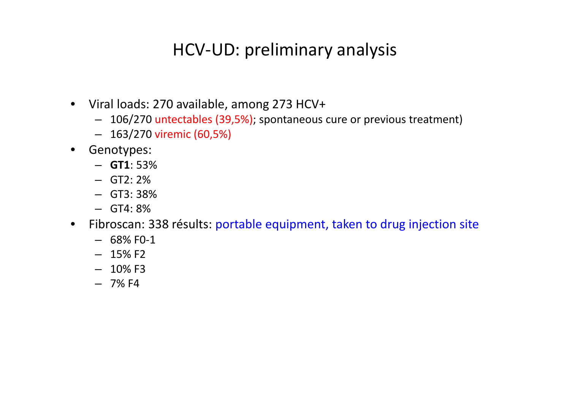#### HCV‐UD: preliminary analysis

- Viral loads: 270 available, among 273 HCV+
	- 106/270 untectables (39,5%); spontaneous cure or previous treatment)
	- 163/270 viremic (60,5%)
- Genotypes:
	- **GT1**: 53%
	- GT2: 2%
	- GT3: 38%
	- GT4: 8%
- Fibroscan: 338 résults: portable equipment, taken to drug injection site
	- 68% F0‐1
	- 15% F2
	- $-$  10% F3
	- 7% F4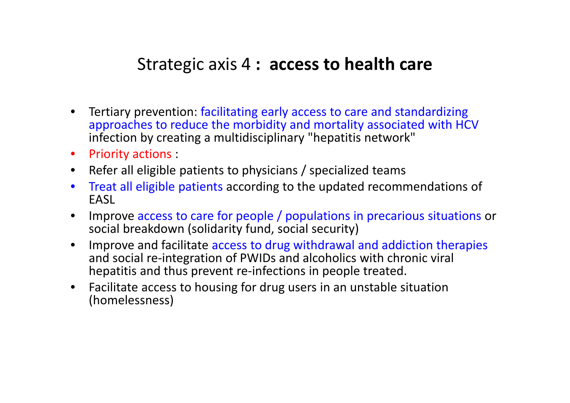#### Strategic axis 4 **: access to health care**

- $\bullet$  Tertiary prevention: facilitating early access to care and standardizing approaches to reduce the morbidity and mortality associated with HCV infection by creating <sup>a</sup> multidisciplinary "hepatitis network"
- Priority actions :
- Refer all eligible patients to physicians / specialized teams
- $\bullet$  Treat all eligible patients according to the updated recommendations of **FASL**
- $\bullet$  Improve access to care for people / populations in precarious situations or social breakdown (solidarity fund, social security)
- $\bullet$  Improve and facilitate access to drug withdrawal and addiction therapies and social re‐integration of PWIDs and alcoholics with chronic viral hepatitis and thus prevent re-infections in people treated.
- Facilitate access to housing for drug users in an unstable situation (homelessness)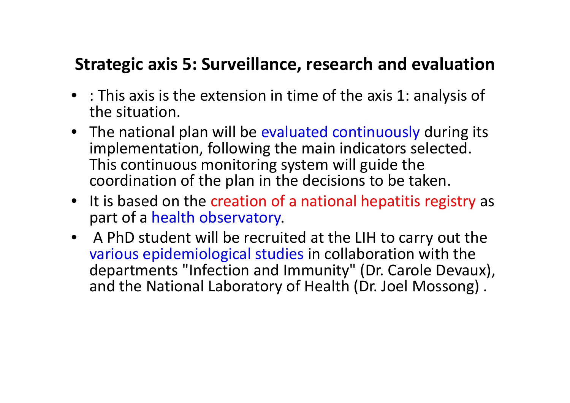#### **Strategic axis 5: Surveillance, research and evaluation**

- : This axis is the extension in time of the axis 1: analysis of the situation.
- The national plan will be evaluated continuously during its implementation, following the main indicators selected. This continuous monitoring system will guide the coordination of the plan in the decisions to be taken.
- It is based on the creation of a national hepatitis registry as part of <sup>a</sup> health observatory.
- A PhD student will be recruited at the LIH to carry out the various epidemiological studies in collaboration with the departments "Infection and Immunity" (Dr. Carole Devaux), and the National Laboratory of Health (Dr. Joel Mossong) .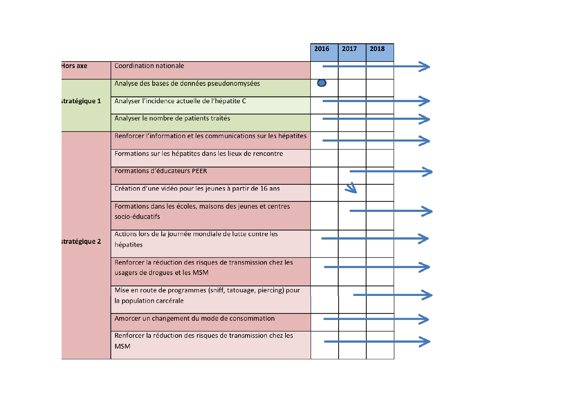|               |                                                                                              | 2016 | 2017 | 2018 |  |
|---------------|----------------------------------------------------------------------------------------------|------|------|------|--|
| Hors axe      | <b>Coordination nationale</b>                                                                |      |      |      |  |
| stratégique 1 | Analyse des bases de données pseudonomysées                                                  |      |      |      |  |
|               | Analyser l'incidence actuelle de l'hépatite C                                                |      |      |      |  |
|               | Analyser le nombre de patients traités                                                       |      |      |      |  |
| stratégique 2 | Renforcer l'information et les communications sur les hépatites                              |      |      |      |  |
|               | Formations sur les hépatites dans les lieux de rencontre                                     |      |      |      |  |
|               | Formations d'éducateurs PEER                                                                 |      |      |      |  |
|               | Création d'une vidéo pour les jeunes à partir de 16 ans                                      |      |      |      |  |
|               | Formations dans les écoles, maisons des jeunes et centres<br>socio-éducatifs                 |      |      |      |  |
|               | Actions lors de la journée mondiale de lutte contre les<br>hépatites                         |      |      |      |  |
|               | Renforcer la réduction des risques de transmission chez les<br>usagers de drogues et les MSM |      |      |      |  |
|               | Mise en route de programmes (sniff, tatouage, piercing) pour<br>la population carcérale      |      |      |      |  |
|               | Amorcer un changement du mode de consommation                                                |      |      |      |  |
|               | Renforcer la réduction des risques de transmission chez les<br><b>MSM</b>                    |      |      |      |  |
|               |                                                                                              |      |      |      |  |